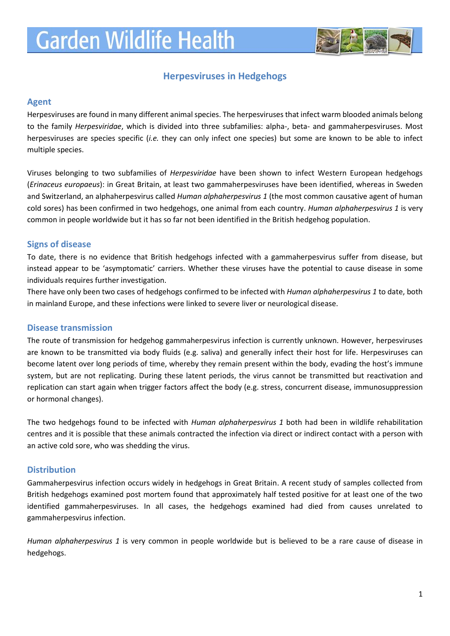# **Garden Wildlife Health**



## **Herpesviruses in Hedgehogs**

#### **Agent**

Herpesviruses are found in many different animal species. The herpesviruses that infect warm blooded animals belong to the family *Herpesviridae*, which is divided into three subfamilies: alpha-, beta- and gammaherpesviruses. Most herpesviruses are species specific (*i.e.* they can only infect one species) but some are known to be able to infect multiple species.

Viruses belonging to two subfamilies of *Herpesviridae* have been shown to infect Western European hedgehogs (*Erinaceus europaeus*): in Great Britain, at least two gammaherpesviruses have been identified, whereas in Sweden and Switzerland, an alphaherpesvirus called *Human alphaherpesvirus 1* (the most common causative agent of human cold sores) has been confirmed in two hedgehogs, one animal from each country. *Human alphaherpesvirus 1* is very common in people worldwide but it has so far not been identified in the British hedgehog population.

#### **Signs of disease**

To date, there is no evidence that British hedgehogs infected with a gammaherpesvirus suffer from disease, but instead appear to be 'asymptomatic' carriers. Whether these viruses have the potential to cause disease in some individuals requires further investigation.

There have only been two cases of hedgehogs confirmed to be infected with *Human alphaherpesvirus 1* to date, both in mainland Europe, and these infections were linked to severe liver or neurological disease.

#### **Disease transmission**

The route of transmission for hedgehog gammaherpesvirus infection is currently unknown. However, herpesviruses are known to be transmitted via body fluids (e.g. saliva) and generally infect their host for life. Herpesviruses can become latent over long periods of time, whereby they remain present within the body, evading the host's immune system, but are not replicating. During these latent periods, the virus cannot be transmitted but reactivation and replication can start again when trigger factors affect the body (e.g. stress, concurrent disease, immunosuppression or hormonal changes).

The two hedgehogs found to be infected with *Human alphaherpesvirus 1* both had been in wildlife rehabilitation centres and it is possible that these animals contracted the infection via direct or indirect contact with a person with an active cold sore, who was shedding the virus.

#### **Distribution**

Gammaherpesvirus infection occurs widely in hedgehogs in Great Britain. A recent study of samples collected from British hedgehogs examined post mortem found that approximately half tested positive for at least one of the two identified gammaherpesviruses. In all cases, the hedgehogs examined had died from causes unrelated to gammaherpesvirus infection.

*Human alphaherpesvirus 1* is very common in people worldwide but is believed to be a rare cause of disease in hedgehogs.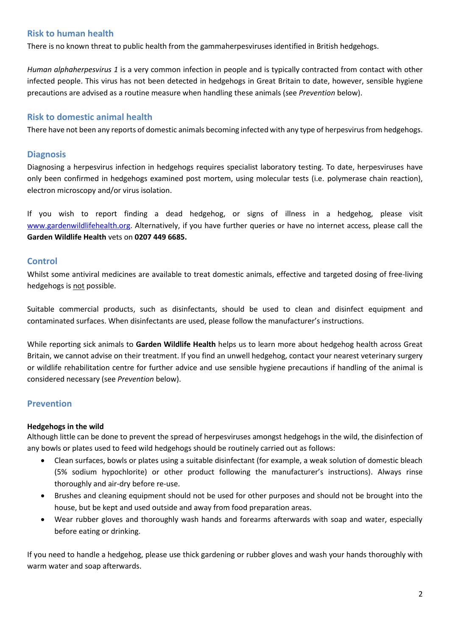## **Risk to human health**

There is no known threat to public health from the gammaherpesviruses identified in British hedgehogs.

*Human alphaherpesvirus 1* is a very common infection in people and is typically contracted from contact with other infected people. This virus has not been detected in hedgehogs in Great Britain to date, however, sensible hygiene precautions are advised as a routine measure when handling these animals (see *Prevention* below).

#### **Risk to domestic animal health**

There have not been any reports of domestic animals becoming infected with any type of herpesvirus from hedgehogs.

#### **Diagnosis**

Diagnosing a herpesvirus infection in hedgehogs requires specialist laboratory testing. To date, herpesviruses have only been confirmed in hedgehogs examined post mortem, using molecular tests (i.e. polymerase chain reaction), electron microscopy and/or virus isolation.

If you wish to report finding a dead hedgehog, or signs of illness in a hedgehog, please visit [www.gardenwildlifehealth.org.](http://www.gardenwildlifehealth.org/) Alternatively, if you have further queries or have no internet access, please call the **Garden Wildlife Health** vets on **0207 449 6685.**

#### **Control**

Whilst some antiviral medicines are available to treat domestic animals, effective and targeted dosing of free-living hedgehogs is not possible.

Suitable commercial products, such as disinfectants, should be used to clean and disinfect equipment and contaminated surfaces. When disinfectants are used, please follow the manufacturer's instructions.

While reporting sick animals to **Garden Wildlife Health** helps us to learn more about hedgehog health across Great Britain, we cannot advise on their treatment. If you find an unwell hedgehog, contact your nearest veterinary surgery or wildlife rehabilitation centre for further advice and use sensible hygiene precautions if handling of the animal is considered necessary (see *Prevention* below).

### **Prevention**

#### **Hedgehogs in the wild**

Although little can be done to prevent the spread of herpesviruses amongst hedgehogs in the wild, the disinfection of any bowls or plates used to feed wild hedgehogs should be routinely carried out as follows:

- Clean surfaces, bowls or plates using a suitable disinfectant (for example, a weak solution of domestic bleach (5% sodium hypochlorite) or other product following the manufacturer's instructions). Always rinse thoroughly and air-dry before re-use.
- Brushes and cleaning equipment should not be used for other purposes and should not be brought into the house, but be kept and used outside and away from food preparation areas.
- Wear rubber gloves and thoroughly wash hands and forearms afterwards with soap and water, especially before eating or drinking.

If you need to handle a hedgehog, please use thick gardening or rubber gloves and wash your hands thoroughly with warm water and soap afterwards.